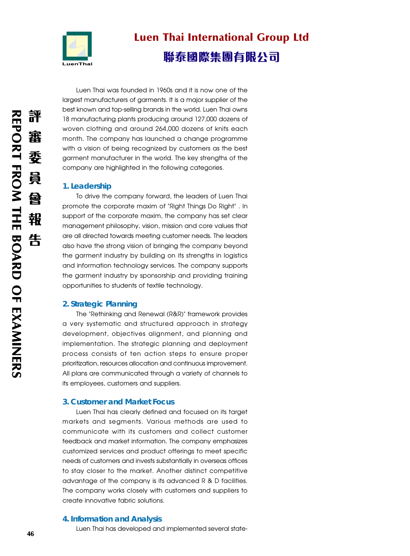

# Luen Thai International Group Ltd 聯泰國際集團有限公司

Luen Thai was founded in 1960s and it is now one of the largest manufacturers of garments. It is a major supplier of the best known and top-selling brands in the world. Luen Thai owns 18 manufacturing plants producing around 127,000 dozens of woven clothing and around 264,000 dozens of knits each month. The company has launched a change programme with a vision of being recognized by customers as the best garment manufacturer in the world. The key strengths of the company are highlighted in the following categories.

# **1. Leadership**

To drive the company forward, the leaders of Luen Thai promote the corporate maxim of "Right Things Do Right" . In support of the corporate maxim, the company has set clear management philosophy, vision, mission and core values that are all directed towards meeting customer needs. The leaders also have the strong vision of bringing the company beyond the garment industry by building on its strengths in logistics and information technology services. The company supports the garment industry by sponsorship and providing training opportunities to students of textile technology.

# **2. Strategic Planning**

The "Rethinking and Renewal (R&R)" framework provides a very systematic and structured approach in strategy development, objectives alignment, and planning and implementation. The strategic planning and deployment process consists of ten action steps to ensure proper prioritization, resources allocation and continuous improvement. All plans are communicated through a variety of channels to its employees, customers and suppliers.

#### **3. Customer and Market Focus**

Luen Thai has clearly defined and focused on its target markets and segments. Various methods are used to communicate with its customers and collect customer feedback and market information. The company emphasizes customized services and product offerings to meet specific needs of customers and invests substantially in overseas offices to stay closer to the market. Another distinct competitive advantage of the company is its advanced R & D facilities. The company works closely with customers and suppliers to create innovative fabric solutions.

#### **4. Information and Analysis**

Luen Thai has developed and implemented several state-